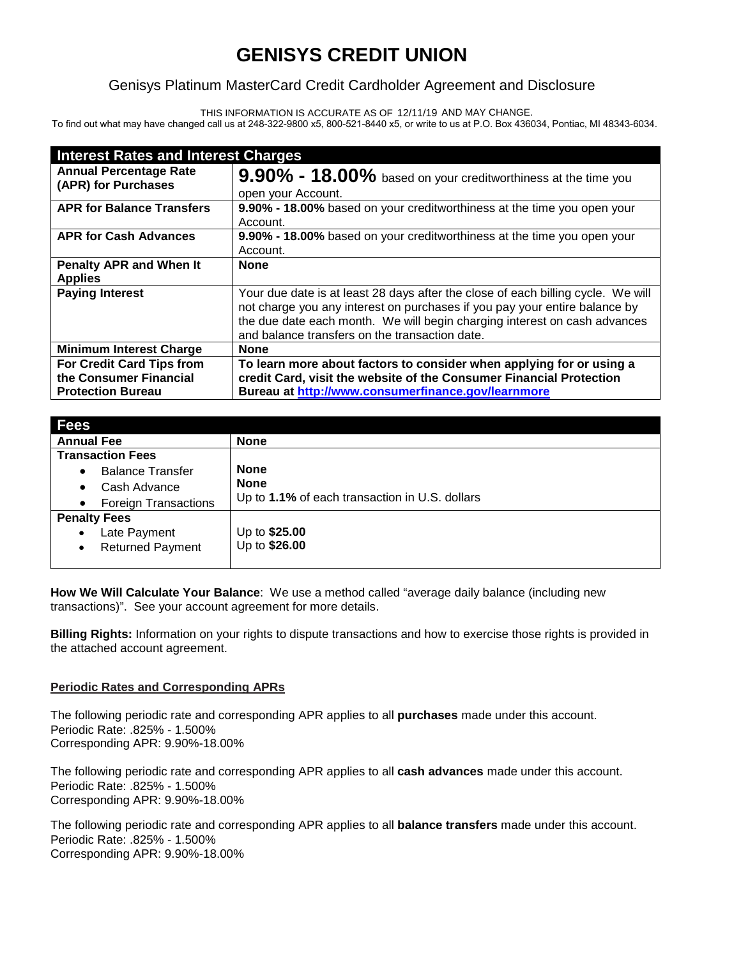# **GENISYS CREDIT UNION**

## Genisys Platinum MasterCard Credit Cardholder Agreement and Disclosure

THIS INFORMATION IS ACCURATE AS OF 12/11/19 AND MAY CHANGE.

To find out what may have changed call us at 248-322-9800 x5, 800-521-8440 x5, or write to us at P.O. Box 436034, Pontiac, MI 48343-6034.

| <b>Interest Rates and Interest Charges</b>                                             |                                                                                                                                                                                                                                                                                               |
|----------------------------------------------------------------------------------------|-----------------------------------------------------------------------------------------------------------------------------------------------------------------------------------------------------------------------------------------------------------------------------------------------|
| <b>Annual Percentage Rate</b><br>(APR) for Purchases                                   | 9.90% - 18.00% based on your creditworthiness at the time you<br>open your Account.                                                                                                                                                                                                           |
| <b>APR for Balance Transfers</b>                                                       | 9.90% - 18.00% based on your creditworthiness at the time you open your<br>Account.                                                                                                                                                                                                           |
| <b>APR for Cash Advances</b>                                                           | 9.90% - 18.00% based on your creditworthiness at the time you open your<br>Account.                                                                                                                                                                                                           |
| <b>Penalty APR and When It</b><br><b>Applies</b>                                       | <b>None</b>                                                                                                                                                                                                                                                                                   |
| <b>Paying Interest</b>                                                                 | Your due date is at least 28 days after the close of each billing cycle. We will<br>not charge you any interest on purchases if you pay your entire balance by<br>the due date each month. We will begin charging interest on cash advances<br>and balance transfers on the transaction date. |
| <b>Minimum Interest Charge</b>                                                         | <b>None</b>                                                                                                                                                                                                                                                                                   |
| <b>For Credit Card Tips from</b><br>the Consumer Financial<br><b>Protection Bureau</b> | To learn more about factors to consider when applying for or using a<br>credit Card, visit the website of the Consumer Financial Protection<br>Bureau at http://www.consumerfinance.gov/learnmore                                                                                             |

| Fees                                                                                          |                                                                              |
|-----------------------------------------------------------------------------------------------|------------------------------------------------------------------------------|
| <b>Annual Fee</b>                                                                             | <b>None</b>                                                                  |
| <b>Transaction Fees</b>                                                                       |                                                                              |
| <b>Balance Transfer</b><br>٠<br>Cash Advance<br>٠<br><b>Foreign Transactions</b><br>$\bullet$ | <b>None</b><br><b>None</b><br>Up to 1.1% of each transaction in U.S. dollars |
| <b>Penalty Fees</b><br>Late Payment<br>$\bullet$<br><b>Returned Payment</b><br>$\bullet$      | Up to \$25.00<br>Up to \$26.00                                               |

**How We Will Calculate Your Balance**: We use a method called "average daily balance (including new transactions)". See your account agreement for more details.

**Billing Rights:** Information on your rights to dispute transactions and how to exercise those rights is provided in the attached account agreement.

### **Periodic Rates and Corresponding APRs**

The following periodic rate and corresponding APR applies to all **purchases** made under this account. Periodic Rate: .825% - 1.500% Corresponding APR: 9.90%-18.00%

The following periodic rate and corresponding APR applies to all **cash advances** made under this account. Periodic Rate: .825% - 1.500% Corresponding APR: 9.90%-18.00%

The following periodic rate and corresponding APR applies to all **balance transfers** made under this account. Periodic Rate: .825% - 1.500% Corresponding APR: 9.90%-18.00%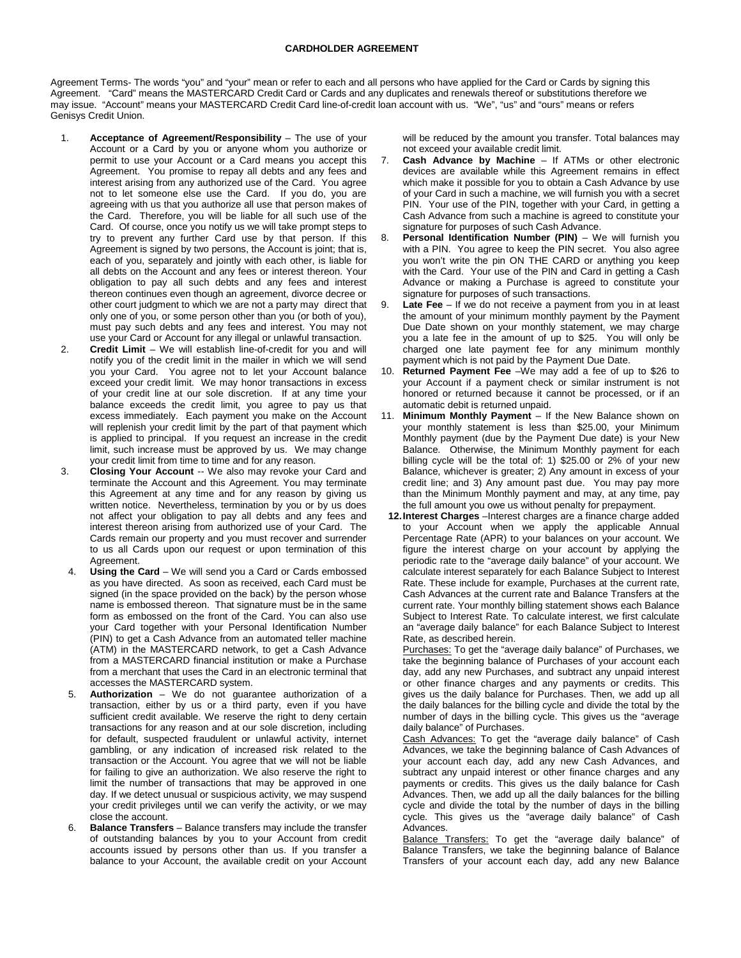#### **CARDHOLDER AGREEMENT**

Agreement Terms- The words "you" and "your" mean or refer to each and all persons who have applied for the Card or Cards by signing this Agreement. "Card" means the MASTERCARD Credit Card or Cards and any duplicates and renewals thereof or substitutions therefore we may issue. "Account" means your MASTERCARD Credit Card line-of-credit loan account with us. "We", "us" and "ours" means or refers Genisys Credit Union.

- 1. **Acceptance of Agreement/Responsibility** The use of your Account or a Card by you or anyone whom you authorize or permit to use your Account or a Card means you accept this Agreement. You promise to repay all debts and any fees and interest arising from any authorized use of the Card. You agree not to let someone else use the Card. If you do, you are agreeing with us that you authorize all use that person makes of the Card. Therefore, you will be liable for all such use of the Card. Of course, once you notify us we will take prompt steps to try to prevent any further Card use by that person. If this Agreement is signed by two persons, the Account is joint; that is, each of you, separately and jointly with each other, is liable for all debts on the Account and any fees or interest thereon. Your obligation to pay all such debts and any fees and interest thereon continues even though an agreement, divorce decree or other court judgment to which we are not a party may direct that only one of you, or some person other than you (or both of you), must pay such debts and any fees and interest. You may not use your Card or Account for any illegal or unlawful transaction.
- 2. **Credit Limit** We will establish line-of-credit for you and will notify you of the credit limit in the mailer in which we will send you your Card. You agree not to let your Account balance exceed your credit limit. We may honor transactions in excess of your credit line at our sole discretion. If at any time your balance exceeds the credit limit, you agree to pay us that excess immediately. Each payment you make on the Account will replenish your credit limit by the part of that payment which is applied to principal. If you request an increase in the credit limit, such increase must be approved by us. We may change your credit limit from time to time and for any reason.
- 3. **Closing Your Account** -- We also may revoke your Card and terminate the Account and this Agreement. You may terminate this Agreement at any time and for any reason by giving us written notice. Nevertheless, termination by you or by us does not affect your obligation to pay all debts and any fees and interest thereon arising from authorized use of your Card. The Cards remain our property and you must recover and surrender to us all Cards upon our request or upon termination of this Agreement.
- Using the Card We will send you a Card or Cards embossed as you have directed. As soon as received, each Card must be signed (in the space provided on the back) by the person whose name is embossed thereon. That signature must be in the same form as embossed on the front of the Card. You can also use your Card together with your Personal Identification Number (PIN) to get a Cash Advance from an automated teller machine (ATM) in the MASTERCARD network, to get a Cash Advance from a MASTERCARD financial institution or make a Purchase from a merchant that uses the Card in an electronic terminal that accesses the MASTERCARD system.
- 5. **Authorization** We do not guarantee authorization of a transaction, either by us or a third party, even if you have sufficient credit available. We reserve the right to deny certain transactions for any reason and at our sole discretion, including for default, suspected fraudulent or unlawful activity, internet gambling, or any indication of increased risk related to the transaction or the Account. You agree that we will not be liable for failing to give an authorization. We also reserve the right to limit the number of transactions that may be approved in one day. If we detect unusual or suspicious activity, we may suspend your credit privileges until we can verify the activity, or we may close the account.
- **Balance Transfers** Balance transfers may include the transfer of outstanding balances by you to your Account from credit accounts issued by persons other than us. If you transfer a balance to your Account, the available credit on your Account

will be reduced by the amount you transfer. Total balances may not exceed your available credit limit.

- 7. **Cash Advance by Machine** If ATMs or other electronic devices are available while this Agreement remains in effect which make it possible for you to obtain a Cash Advance by use of your Card in such a machine, we will furnish you with a secret PIN. Your use of the PIN, together with your Card, in getting a Cash Advance from such a machine is agreed to constitute your signature for purposes of such Cash Advance.
- 8. **Personal Identification Number (PIN)** We will furnish you with a PIN. You agree to keep the PIN secret. You also agree you won't write the pin ON THE CARD or anything you keep with the Card. Your use of the PIN and Card in getting a Cash Advance or making a Purchase is agreed to constitute your signature for purposes of such transactions.
- 9. **Late Fee** If we do not receive a payment from you in at least the amount of your minimum monthly payment by the Payment Due Date shown on your monthly statement, we may charge you a late fee in the amount of up to \$25. You will only be charged one late payment fee for any minimum monthly payment which is not paid by the Payment Due Date.
- 10. **Returned Payment Fee** –We may add a fee of up to \$26 to your Account if a payment check or similar instrument is not honored or returned because it cannot be processed, or if an automatic debit is returned unpaid.
- 11. **Minimum Monthly Payment** If the New Balance shown on your monthly statement is less than \$25.00, your Minimum Monthly payment (due by the Payment Due date) is your New Balance. Otherwise, the Minimum Monthly payment for each billing cycle will be the total of: 1) \$25.00 or 2% of your new Balance, whichever is greater; 2) Any amount in excess of your credit line; and 3) Any amount past due. You may pay more than the Minimum Monthly payment and may, at any time, pay the full amount you owe us without penalty for prepayment.
	- **12.Interest Charges** –Interest charges are a finance charge added to your Account when we apply the applicable Annual Percentage Rate (APR) to your balances on your account. We figure the interest charge on your account by applying the periodic rate to the "average daily balance" of your account. We calculate interest separately for each Balance Subject to Interest Rate. These include for example, Purchases at the current rate, Cash Advances at the current rate and Balance Transfers at the current rate. Your monthly billing statement shows each Balance Subject to Interest Rate. To calculate interest, we first calculate an "average daily balance" for each Balance Subject to Interest Rate, as described herein.

Purchases: To get the "average daily balance" of Purchases, we take the beginning balance of Purchases of your account each day, add any new Purchases, and subtract any unpaid interest or other finance charges and any payments or credits. This gives us the daily balance for Purchases. Then, we add up all the daily balances for the billing cycle and divide the total by the number of days in the billing cycle. This gives us the "average daily balance" of Purchases.

Cash Advances: To get the "average daily balance" of Cash Advances, we take the beginning balance of Cash Advances of your account each day, add any new Cash Advances, and subtract any unpaid interest or other finance charges and any payments or credits. This gives us the daily balance for Cash Advances. Then, we add up all the daily balances for the billing cycle and divide the total by the number of days in the billing cycle. This gives us the "average daily balance" of Cash Advances.

Balance Transfers: To get the "average daily balance" of Balance Transfers, we take the beginning balance of Balance Transfers of your account each day, add any new Balance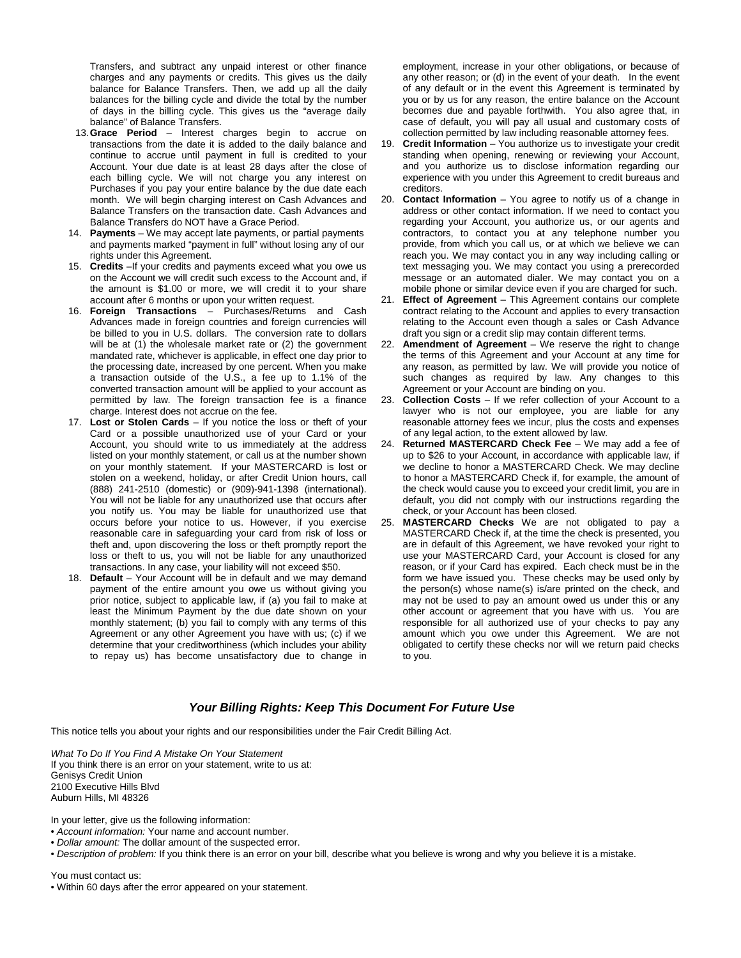Transfers, and subtract any unpaid interest or other finance charges and any payments or credits. This gives us the daily balance for Balance Transfers. Then, we add up all the daily balances for the billing cycle and divide the total by the number of days in the billing cycle. This gives us the "average daily balance" of Balance Transfers.

- 13.**Grace Period** Interest charges begin to accrue on transactions from the date it is added to the daily balance and continue to accrue until payment in full is credited to your Account. Your due date is at least 28 days after the close of each billing cycle. We will not charge you any interest on Purchases if you pay your entire balance by the due date each month. We will begin charging interest on Cash Advances and Balance Transfers on the transaction date. Cash Advances and Balance Transfers do NOT have a Grace Period.
- 14. **Payments** We may accept late payments, or partial payments and payments marked "payment in full" without losing any of our rights under this Agreement.
- 15. **Credits** –If your credits and payments exceed what you owe us on the Account we will credit such excess to the Account and, if the amount is \$1.00 or more, we will credit it to your share account after 6 months or upon your written request.
- 16. **Foreign Transactions** Purchases/Returns and Cash Advances made in foreign countries and foreign currencies will be billed to you in U.S. dollars. The conversion rate to dollars will be at (1) the wholesale market rate or (2) the government mandated rate, whichever is applicable, in effect one day prior to the processing date, increased by one percent. When you make a transaction outside of the U.S., a fee up to 1.1% of the converted transaction amount will be applied to your account as permitted by law. The foreign transaction fee is a finance charge. Interest does not accrue on the fee.
- 17. **Lost or Stolen Cards** If you notice the loss or theft of your Card or a possible unauthorized use of your Card or your Account, you should write to us immediately at the address listed on your monthly statement, or call us at the number shown on your monthly statement. If your MASTERCARD is lost or stolen on a weekend, holiday, or after Credit Union hours, call (888) 241-2510 (domestic) or (909)-941-1398 (international). You will not be liable for any unauthorized use that occurs after you notify us. You may be liable for unauthorized use that occurs before your notice to us. However, if you exercise reasonable care in safeguarding your card from risk of loss or theft and, upon discovering the loss or theft promptly report the loss or theft to us, you will not be liable for any unauthorized transactions. In any case, your liability will not exceed \$50.
- 18. **Default**  Your Account will be in default and we may demand payment of the entire amount you owe us without giving you prior notice, subject to applicable law, if (a) you fail to make at least the Minimum Payment by the due date shown on your monthly statement; (b) you fail to comply with any terms of this Agreement or any other Agreement you have with us; (c) if we determine that your creditworthiness (which includes your ability to repay us) has become unsatisfactory due to change in

employment, increase in your other obligations, or because of any other reason; or (d) in the event of your death. In the event of any default or in the event this Agreement is terminated by you or by us for any reason, the entire balance on the Account becomes due and payable forthwith. You also agree that, in case of default, you will pay all usual and customary costs of collection permitted by law including reasonable attorney fees.

- 19. **Credit Information** You authorize us to investigate your credit standing when opening, renewing or reviewing your Account, and you authorize us to disclose information regarding our experience with you under this Agreement to credit bureaus and creditors.
- 20. **Contact Information** You agree to notify us of a change in address or other contact information. If we need to contact you regarding your Account, you authorize us, or our agents and contractors, to contact you at any telephone number you provide, from which you call us, or at which we believe we can reach you. We may contact you in any way including calling or text messaging you. We may contact you using a prerecorded message or an automated dialer. We may contact you on a mobile phone or similar device even if you are charged for such.
- 21. **Effect of Agreement** This Agreement contains our complete contract relating to the Account and applies to every transaction relating to the Account even though a sales or Cash Advance draft you sign or a credit slip may contain different terms.
- 22. **Amendment of Agreement** We reserve the right to change the terms of this Agreement and your Account at any time for any reason, as permitted by law. We will provide you notice of such changes as required by law. Any changes to this Agreement or your Account are binding on you.
- 23. **Collection Costs** If we refer collection of your Account to a lawyer who is not our employee, you are liable for any reasonable attorney fees we incur, plus the costs and expenses of any legal action, to the extent allowed by law.
- **Returned MASTERCARD Check Fee** We may add a fee of up to \$26 to your Account, in accordance with applicable law, if we decline to honor a MASTERCARD Check. We may decline to honor a MASTERCARD Check if, for example, the amount of the check would cause you to exceed your credit limit, you are in default, you did not comply with our instructions regarding the check, or your Account has been closed.
- 25. **MASTERCARD Checks** We are not obligated to pay a MASTERCARD Check if, at the time the check is presented, you are in default of this Agreement, we have revoked your right to use your MASTERCARD Card, your Account is closed for any reason, or if your Card has expired. Each check must be in the form we have issued you. These checks may be used only by the person(s) whose name(s) is/are printed on the check, and may not be used to pay an amount owed us under this or any other account or agreement that you have with us. You are responsible for all authorized use of your checks to pay any amount which you owe under this Agreement. We are not obligated to certify these checks nor will we return paid checks to you.

### *Your Billing Rights: Keep This Document For Future Use*

This notice tells you about your rights and our responsibilities under the Fair Credit Billing Act.

*What To Do If You Find A Mistake On Your Statement* If you think there is an error on your statement, write to us at: Genisys Credit Union 2100 Executive Hills Blvd Auburn Hills, MI 48326

In your letter, give us the following information:

- *Account information:* Your name and account number.
- *Dollar amount:* The dollar amount of the suspected error.

• *Description of problem:* If you think there is an error on your bill, describe what you believe is wrong and why you believe it is a mistake.

You must contact us:

• Within 60 days after the error appeared on your statement.